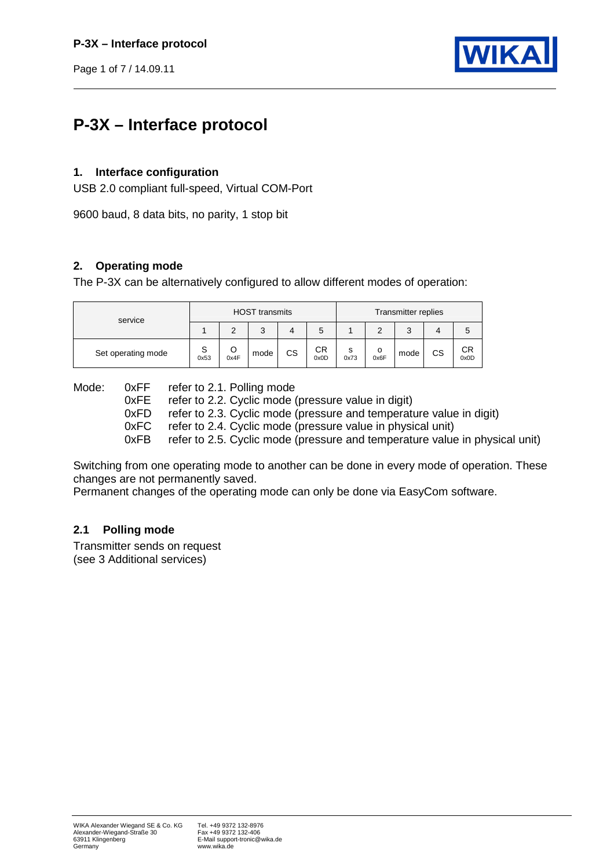Page 1 of 7 / 14.09.11



# **P-3X – Interface protocol**

## **1. Interface configuration**

USB 2.0 compliant full-speed, Virtual COM-Port

9600 baud, 8 data bits, no parity, 1 stop bit

## **2. Operating mode**

The P-3X can be alternatively configured to allow different modes of operation:

| service            |           |      | <b>HOST transmits</b> |    |            | Transmitter replies |           |      |    |                   |  |
|--------------------|-----------|------|-----------------------|----|------------|---------------------|-----------|------|----|-------------------|--|
|                    |           |      | っ<br>J                |    | ວ          |                     | ⌒         | J    |    |                   |  |
| Set operating mode | S<br>0x53 | 0x4F | mode                  | CS | СR<br>0x0D | s<br>0x73           | о<br>0x6F | mode | CS | <b>CR</b><br>0x0D |  |

Mode: 0xFF refer to 2.1. Polling mode<br>0xFE refer to 2.2. Cyclic mode refer to 2.2. Cyclic mode (pressure value in digit) 0xFD refer to 2.3. Cyclic mode (pressure and temperature value in digit) 0xFC refer to 2.4. Cyclic mode (pressure value in physical unit)

0xFB refer to 2.5. Cyclic mode (pressure and temperature value in physical unit)

Switching from one operating mode to another can be done in every mode of operation. These changes are not permanently saved.

Permanent changes of the operating mode can only be done via EasyCom software.

## **2.1 Polling mode**

Transmitter sends on request (see 3 Additional services)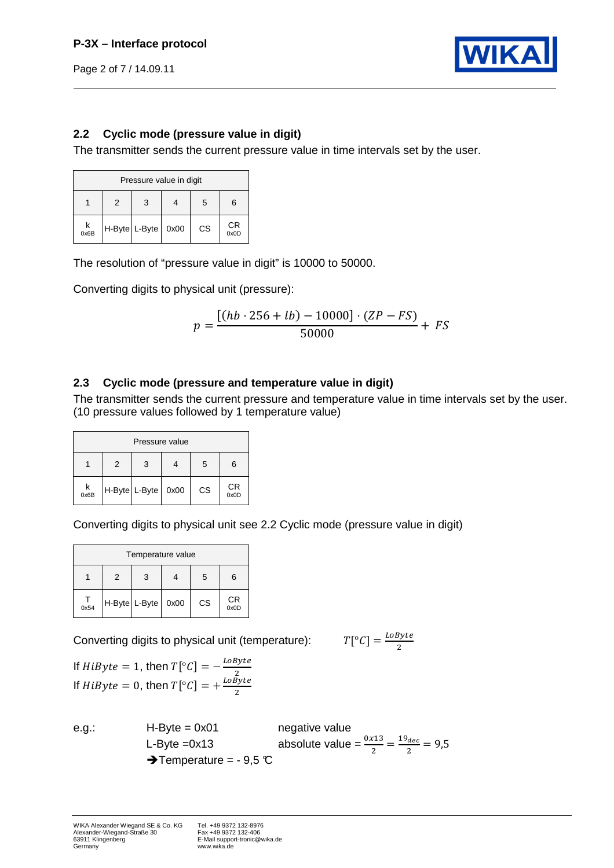Page 2 of 7 / 14.09.11



## **2.2 Cyclic mode (pressure value in digit)**

The transmitter sends the current pressure value in time intervals set by the user.

| Pressure value in digit |               |   |      |    |            |  |  |  |  |
|-------------------------|---------------|---|------|----|------------|--|--|--|--|
|                         | 2             | 3 |      | 5  | 6          |  |  |  |  |
| $k$ <sub>0x6B</sub>     | H-Byte L-Byte |   | 0x00 | CS | СR<br>0x0D |  |  |  |  |

The resolution of "pressure value in digit" is 10000 to 50000.

Converting digits to physical unit (pressure):

$$
p = \frac{[(hb \cdot 256 + lb) - 10000] \cdot (ZP - FS)}{50000} + FS
$$

## **2.3 Cyclic mode (pressure and temperature value in digit)**

The transmitter sends the current pressure and temperature value in time intervals set by the user. (10 pressure values followed by 1 temperature value)

| Pressure value      |                    |   |  |    |            |  |  |  |  |
|---------------------|--------------------|---|--|----|------------|--|--|--|--|
|                     | 2                  | 3 |  | 5  | 6          |  |  |  |  |
| $k$ <sub>0x6B</sub> | H-Byte L-Byte 0x00 |   |  | CS | СR<br>0x0D |  |  |  |  |

Converting digits to physical unit see 2.2 Cyclic mode (pressure value in digit)

| Temperature value |                  |  |      |           |            |  |  |  |  |
|-------------------|------------------|--|------|-----------|------------|--|--|--|--|
|                   | 5<br>3<br>2<br>6 |  |      |           |            |  |  |  |  |
| $\frac{1}{0x54}$  | H-Byte L-Byte    |  | 0x00 | <b>CS</b> | СR<br>0x0D |  |  |  |  |

Converting digits to physical unit (temperature):

$$
T[^{\circ}C] = \frac{LoByte}{2}
$$

If  $HiByte = 1$ , then  $T[^{\circ}C] = -\frac{LoByte}{2}$  $\overline{c}$ If  $HiByte = 0$ , then  $T[^{\circ}C] = +\frac{LoByte}{2}$ 

e.g.: H-Byte = 0x01 negative value L-Byte =0x13 absolute value =  $\frac{0x13}{2} = \frac{19_{dec}}{2}$  $\frac{2}{2}$  = 9,5  $\rightarrow$  Temperature = - 9,5 °C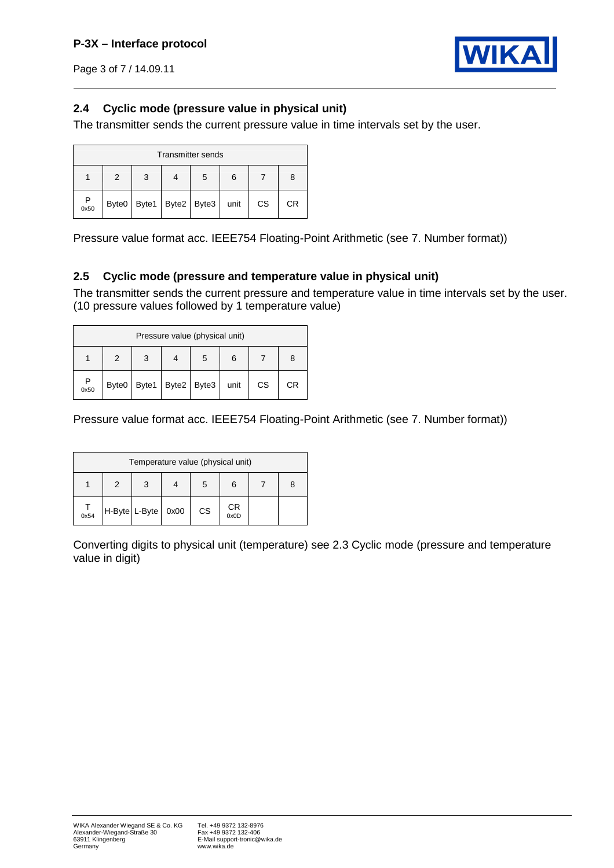

Page 3 of 7 / 14.09.11

## **2.4 Cyclic mode (pressure value in physical unit)**

The transmitter sends the current pressure value in time intervals set by the user.

|           | <b>Transmitter sends</b> |   |                               |   |      |    |    |  |  |  |  |
|-----------|--------------------------|---|-------------------------------|---|------|----|----|--|--|--|--|
|           | 2                        | 3 |                               | 5 | 6    |    | 8  |  |  |  |  |
| P<br>0x50 |                          |   | Byte0   Byte1   Byte2   Byte3 |   | unit | CS | СR |  |  |  |  |

Pressure value format acc. IEEE754 Floating-Point Arithmetic (see 7. Number format))

## **2.5 Cyclic mode (pressure and temperature value in physical unit)**

The transmitter sends the current pressure and temperature value in time intervals set by the user. (10 pressure values followed by 1 temperature value)

|      | Pressure value (physical unit) |  |                               |   |      |           |    |  |  |  |  |
|------|--------------------------------|--|-------------------------------|---|------|-----------|----|--|--|--|--|
|      | 2                              |  |                               | 5 | 6    |           | 8  |  |  |  |  |
| 0x50 |                                |  | Byte0   Byte1   Byte2   Byte3 |   | unit | <b>CS</b> | СR |  |  |  |  |

Pressure value format acc. IEEE754 Floating-Point Arithmetic (see 7. Number format))

| Temperature value (physical unit) |               |  |      |    |            |  |   |  |  |  |
|-----------------------------------|---------------|--|------|----|------------|--|---|--|--|--|
|                                   | $\mathcal{P}$ |  |      | 5  |            |  | 8 |  |  |  |
| $\frac{1}{0x54}$                  | H-Byte L-Byte |  | 0x00 | CS | СR<br>0x0D |  |   |  |  |  |

Converting digits to physical unit (temperature) see 2.3 Cyclic mode (pressure and temperature value in digit)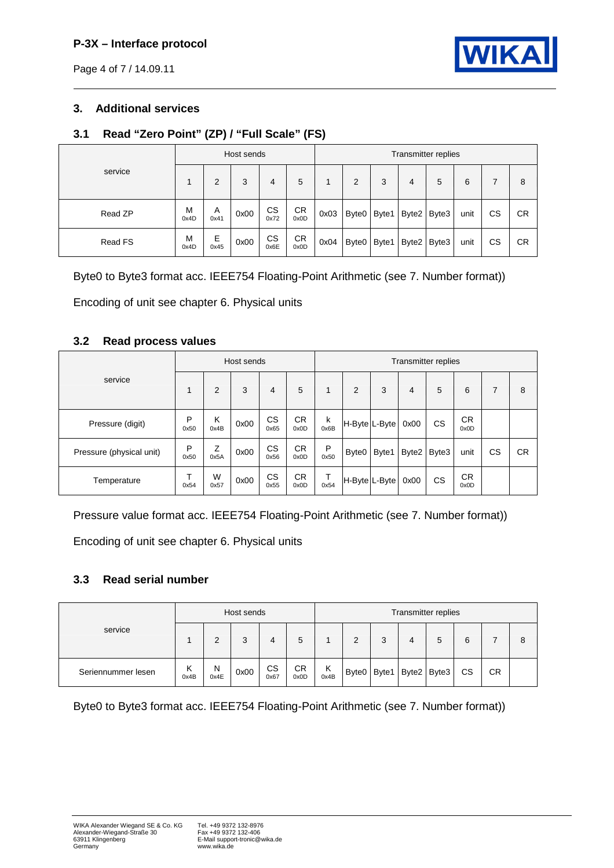## **P-3X – Interface protocol**

Page 4 of 7 / 14.09.11



## **3. Additional services**

## **3.1 Read "Zero Point" (ZP) / "Full Scale" (FS)**

|         |           |           | Host sends |             |                   |      |                   |       |       | Transmitter replies |      |           |           |
|---------|-----------|-----------|------------|-------------|-------------------|------|-------------------|-------|-------|---------------------|------|-----------|-----------|
| service |           | 2         | 3          | 4           | 5                 |      | 2                 | 3     | 4     | 5                   | 6    | 7         | 8         |
| Read ZP | M<br>0x4D | Α<br>0x41 | 0x00       | CS.<br>0x72 | <b>CR</b><br>0x0D | 0x03 | Byte <sub>0</sub> | Byte1 | Byte2 | Byte3               | unit | <b>CS</b> | СR        |
| Read FS | M<br>0x4D | Е<br>0x45 | 0x00       | CS<br>0x6E  | <b>CR</b><br>0x0D | 0x04 | Byte <sub>0</sub> | Byte1 | Byte2 | Byte3               | unit | CS        | <b>CR</b> |

Byte0 to Byte3 format acc. IEEE754 Floating-Point Arithmetic (see 7. Number format))

Encoding of unit see chapter 6. Physical units

#### **3.2 Read process values**

|                          |           |           | Host sends |                |                   | Transmitter replies |                   |       |       |       |                   |           |           |
|--------------------------|-----------|-----------|------------|----------------|-------------------|---------------------|-------------------|-------|-------|-------|-------------------|-----------|-----------|
| service                  |           | 2         | 3          | $\overline{4}$ | 5                 | $\mathbf{1}$        | $\overline{2}$    | 3     | 4     | 5     | 6                 | 7         | 8         |
| Pressure (digit)         | P<br>0x50 | K<br>0x4B | 0x00       | CS<br>0x65     | <b>CR</b><br>0x0D | k<br>0x6B           | H-Byte L-Byte     |       | 0x00  | CS    | <b>CR</b><br>0x0D |           |           |
| Pressure (physical unit) | P<br>0x50 | Ζ<br>0x5A | 0x00       | CS<br>0x56     | <b>CR</b><br>0x0D | P<br>0x50           | Byte <sub>0</sub> | Byte1 | Byte2 | Byte3 | unit              | <b>CS</b> | <b>CR</b> |
| Temperature              | ᠇<br>0x54 | W<br>0x57 | 0x00       | CS<br>0x55     | <b>CR</b><br>0x0D | Т<br>0x54           | H-Byte L-Byte     |       | 0x00  | CS    | <b>CR</b><br>0x0D |           |           |

Pressure value format acc. IEEE754 Floating-Point Arithmetic (see 7. Number format))

Encoding of unit see chapter 6. Physical units

## **3.3 Read serial number**

|                    |           |           | Host sends |            |            | Transmitter replies |       |       |   |             |           |           |   |
|--------------------|-----------|-----------|------------|------------|------------|---------------------|-------|-------|---|-------------|-----------|-----------|---|
| service            |           | 2         | 3          |            | 5          |                     | 2     | 3     | 4 | 5           | 6         |           | 8 |
| Seriennummer lesen | Κ<br>0x4B | N<br>0x4E | 0x00       | CS<br>0x67 | CR<br>0x0D | Κ<br>0x4B           | Byte0 | Byte1 |   | Byte2 Byte3 | <b>CS</b> | <b>CR</b> |   |

Byte0 to Byte3 format acc. IEEE754 Floating-Point Arithmetic (see 7. Number format))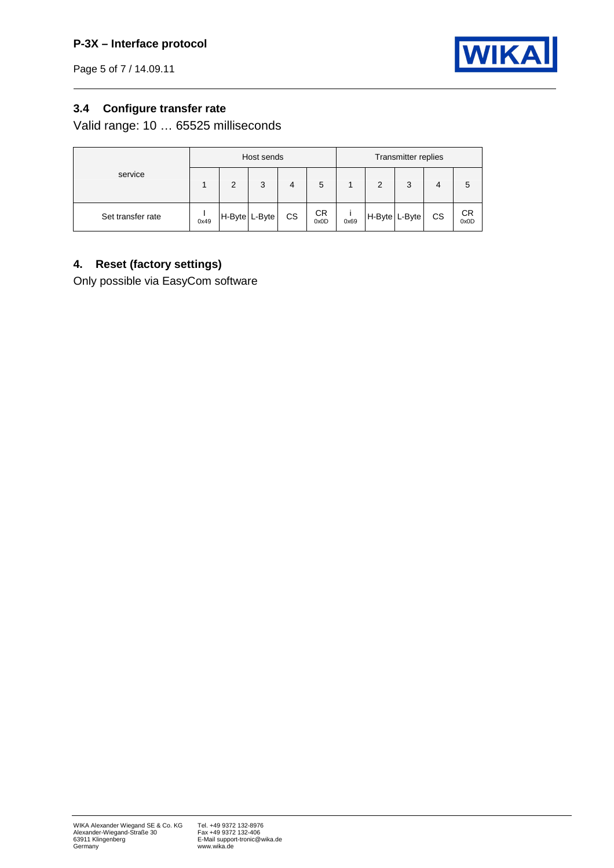Page 5 of 7 / 14.09.11



# **3.4 Configure transfer rate**

Valid range: 10 … 65525 milliseconds

|                   | Transmitter replies<br>Host sends |   |               |    |                   |      |   |               |    |            |
|-------------------|-----------------------------------|---|---------------|----|-------------------|------|---|---------------|----|------------|
| service           |                                   | 2 | 3             | 4  | 5                 |      | 2 | 3             | 4  | 5          |
| Set transfer rate | 0x49                              |   | H-Byte L-Byte | CS | <b>CR</b><br>0x0D | 0x69 |   | H-Byte L-Byte | CS | CR<br>0x0D |

## **4. Reset (factory settings)**

Only possible via EasyCom software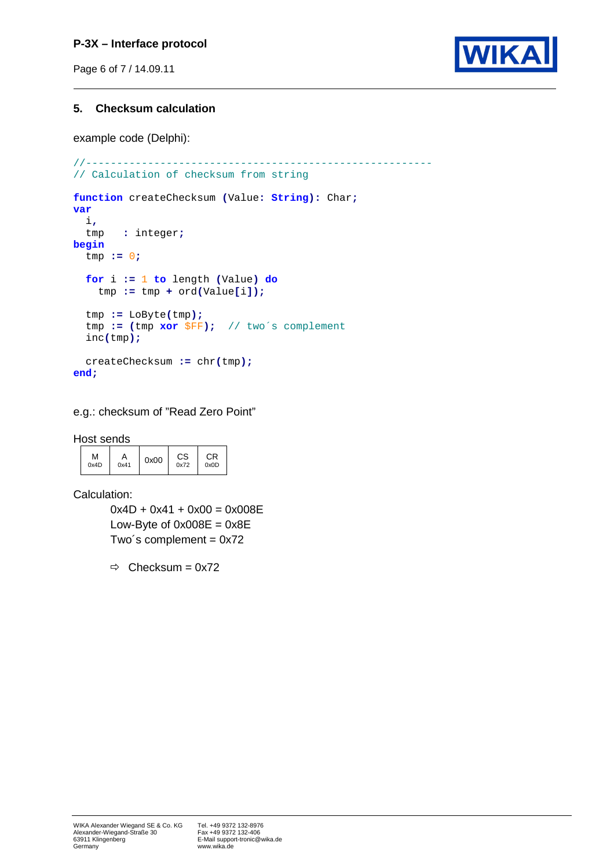## **P-3X – Interface protocol**

Page 6 of 7 / 14.09.11



#### **5. Checksum calculation**

example code (Delphi):

```
//-------------------------------------------------------- 
// Calculation of checksum from string 
function createChecksum (Value: String): Char;
var
   i,
  tmp : integer;
begin
   tmp := 0;
   for i := 1 to length (Value) do
    tmp := tmp + ord(Value[i]);
   tmp := LoByte(tmp);
   tmp := (tmp xor $FF); // two´s complement
   inc(tmp);
   createChecksum := chr(tmp);
end;
```
## e.g.: checksum of "Read Zero Point"

Host sends

| м<br>0x4D<br>0x41 | СS<br>0x00<br>0x72 | СR<br>0x0D |
|-------------------|--------------------|------------|
|-------------------|--------------------|------------|

Calculation:

 $0x4D + 0x41 + 0x00 = 0x008E$ Low-Byte of  $0x008E = 0x8E$ Two's complement =  $0x72$ 

 $\Rightarrow$  Checksum = 0x72